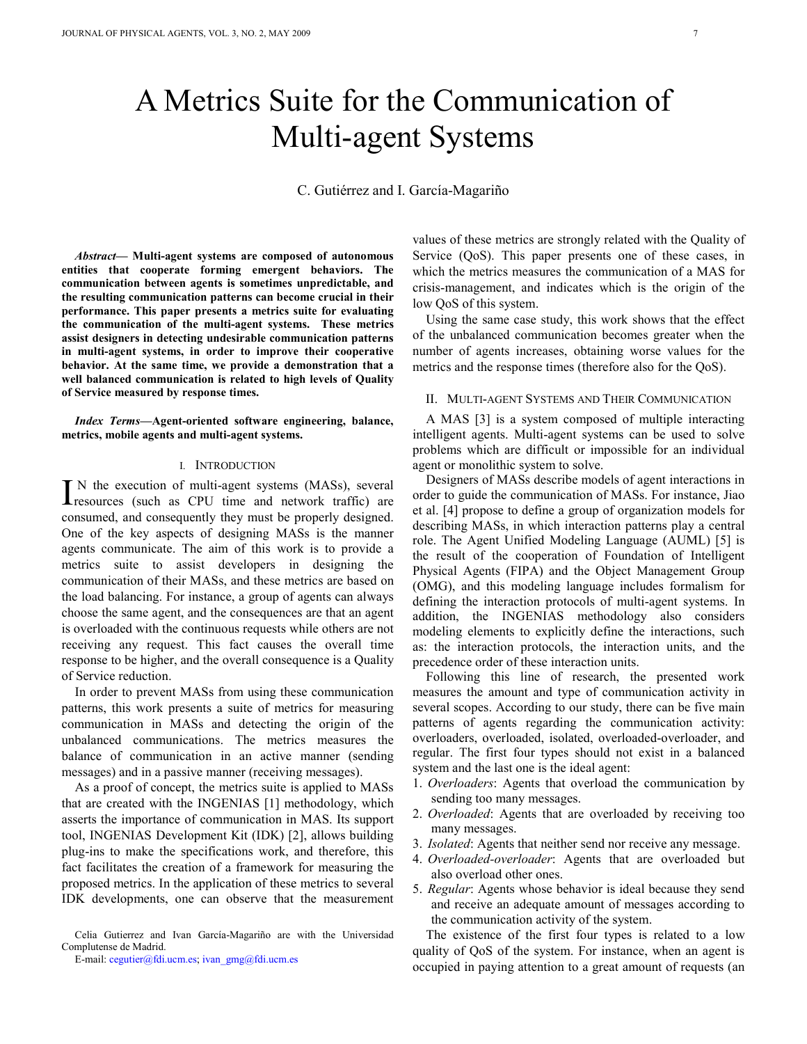# A Metrics Suite for the Communication of Multi-agent Systems

C. Gutiérrez and I. García-Magariño

*Abstract***— Multi-agent systems are composed of autonomous entities that cooperate forming emergent behaviors. The communication between agents is sometimes unpredictable, and the resulting communication patterns can become crucial in their performance. This paper presents a metrics suite for evaluating the communication of the multi-agent systems. These metrics assist designers in detecting undesirable communication patterns in multi-agent systems, in order to improve their cooperative behavior. At the same time, we provide a demonstration that a well balanced communication is related to high levels of Quality of Service measured by response times.** 

*Index Terms***—Agent-oriented software engineering, balance, metrics, mobile agents and multi-agent systems.** 

#### I. INTRODUCTION

 N the execution of multi-agent systems (MASs), several IN the execution of multi-agent systems (MASs), several resources (such as CPU time and network traffic) are consumed, and consequently they must be properly designed. One of the key aspects of designing MASs is the manner agents communicate. The aim of this work is to provide a metrics suite to assist developers in designing the communication of their MASs, and these metrics are based on the load balancing. For instance, a group of agents can always choose the same agent, and the consequences are that an agent is overloaded with the continuous requests while others are not receiving any request. This fact causes the overall time response to be higher, and the overall consequence is a Quality of Service reduction.

In order to prevent MASs from using these communication patterns, this work presents a suite of metrics for measuring communication in MASs and detecting the origin of the unbalanced communications. The metrics measures the balance of communication in an active manner (sending messages) and in a passive manner (receiving messages).

As a proof of concept, the metrics suite is applied to MASs that are created with the INGENIAS [1] methodology, which asserts the importance of communication in MAS. Its support tool, INGENIAS Development Kit (IDK) [2], allows building plug-ins to make the specifications work, and therefore, this fact facilitates the creation of a framework for measuring the proposed metrics. In the application of these metrics to several IDK developments, one can observe that the measurement values of these metrics are strongly related with the Quality of Service (QoS). This paper presents one of these cases, in which the metrics measures the communication of a MAS for crisis-management, and indicates which is the origin of the low QoS of this system.

Using the same case study, this work shows that the effect of the unbalanced communication becomes greater when the number of agents increases, obtaining worse values for the metrics and the response times (therefore also for the QoS).

## II. MULTI-AGENT SYSTEMS AND THEIR COMMUNICATION

A MAS [3] is a system composed of multiple interacting intelligent agents. Multi-agent systems can be used to solve problems which are difficult or impossible for an individual agent or monolithic system to solve.

 Designers of MASs describe models of agent interactions in order to guide the communication of MASs. For instance, Jiao et al. [4] propose to define a group of organization models for describing MASs, in which interaction patterns play a central role. The Agent Unified Modeling Language (AUML) [5] is the result of the cooperation of Foundation of Intelligent Physical Agents (FIPA) and the Object Management Group (OMG), and this modeling language includes formalism for defining the interaction protocols of multi-agent systems. In addition, the INGENIAS methodology also considers modeling elements to explicitly define the interactions, such as: the interaction protocols, the interaction units, and the precedence order of these interaction units.

 Following this line of research, the presented work measures the amount and type of communication activity in several scopes. According to our study, there can be five main patterns of agents regarding the communication activity: overloaders, overloaded, isolated, overloaded-overloader, and regular. The first four types should not exist in a balanced system and the last one is the ideal agent:

- 1. *Overloaders*: Agents that overload the communication by sending too many messages.
- 2. *Overloaded*: Agents that are overloaded by receiving too many messages.
- 3. *Isolated*: Agents that neither send nor receive any message.
- 4. *Overloaded-overloader*: Agents that are overloaded but also overload other ones.
- 5. *Regular*: Agents whose behavior is ideal because they send and receive an adequate amount of messages according to the communication activity of the system.

The existence of the first four types is related to a low quality of QoS of the system. For instance, when an agent is occupied in paying attention to a great amount of requests (an

Celia Gutierrez and Ivan García-Magariño are with the Universidad Complutense de Madrid.

E-mail: cegutier@fdi.ucm.es; ivan\_gmg@fdi.ucm.es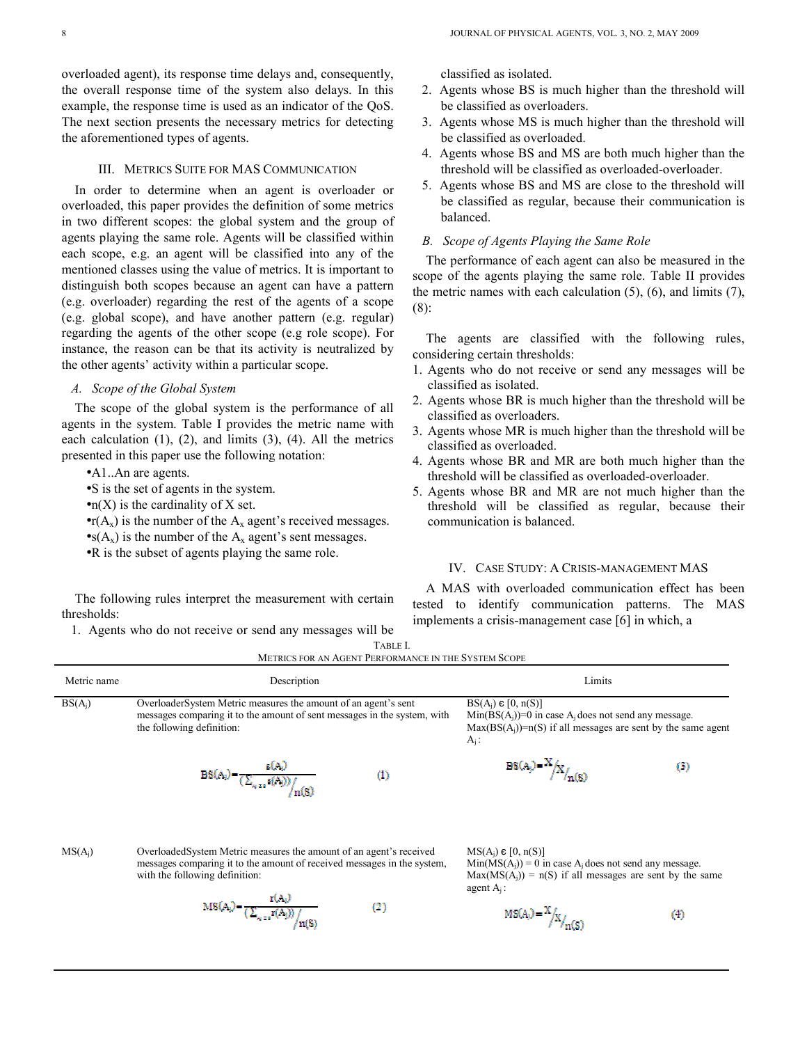overloaded agent), its response time delays and, consequently, the overall response time of the system also delays. In this example, the response time is used as an indicator of the QoS. The next section presents the necessary metrics for detecting the aforementioned types of agents.

### III. METRICS SUITE FOR MAS COMMUNICATION

In order to determine when an agent is overloader or overloaded, this paper provides the definition of some metrics in two different scopes: the global system and the group of agents playing the same role. Agents will be classified within each scope, e.g. an agent will be classified into any of the mentioned classes using the value of metrics. It is important to distinguish both scopes because an agent can have a pattern (e.g. overloader) regarding the rest of the agents of a scope (e.g. global scope), and have another pattern (e.g. regular) regarding the agents of the other scope (e.g role scope). For instance, the reason can be that its activity is neutralized by the other agents' activity within a particular scope.

# *A. Scope of the Global System*

The scope of the global system is the performance of all agents in the system. Table I provides the metric name with each calculation (1), (2), and limits (3), (4). All the metrics presented in this paper use the following notation:

- •A1..An are agents.
- •S is the set of agents in the system.
- $\bullet$ n(X) is the cardinality of X set.
- $\bullet$ r(A<sub>x</sub>) is the number of the A<sub>x</sub> agent's received messages.
- $\bullet$ s(A<sub>x</sub>) is the number of the A<sub>x</sub> agent's sent messages.
- •R is the subset of agents playing the same role.

The following rules interpret the measurement with certain thresholds:

1. Agents who do not receive or send any messages will be

classified as isolated.

- 2. Agents whose BS is much higher than the threshold will be classified as overloaders.
- 3. Agents whose MS is much higher than the threshold will be classified as overloaded.
- 4. Agents whose BS and MS are both much higher than the threshold will be classified as overloaded-overloader.
- 5. Agents whose BS and MS are close to the threshold will be classified as regular, because their communication is balanced.

## *B. Scope of Agents Playing the Same Role*

The performance of each agent can also be measured in the scope of the agents playing the same role. Table II provides the metric names with each calculation (5), (6), and limits (7), (8):

The agents are classified with the following rules, considering certain thresholds:

- 1. Agents who do not receive or send any messages will be classified as isolated.
- 2. Agents whose BR is much higher than the threshold will be classified as overloaders.
- 3. Agents whose MR is much higher than the threshold will be classified as overloaded.
- 4. Agents whose BR and MR are both much higher than the threshold will be classified as overloaded-overloader.
- 5. Agents whose BR and MR are not much higher than the threshold will be classified as regular, because their communication is balanced.

# IV. CASE STUDY: A CRISIS-MANAGEMENT MAS

A MAS with overloaded communication effect has been tested to identify communication patterns. The MAS implements a crisis-management case [6] in which, a

|             |                                                                                                                                                                          | 1710 LL 1.<br>METRICS FOR AN AGENT PERFORMANCE IN THE SYSTEM SCOPE |                                                                                                                                                                            |    |
|-------------|--------------------------------------------------------------------------------------------------------------------------------------------------------------------------|--------------------------------------------------------------------|----------------------------------------------------------------------------------------------------------------------------------------------------------------------------|----|
| Metric name | Description                                                                                                                                                              |                                                                    | Limits                                                                                                                                                                     |    |
| $BS(A_i)$   | Overloader System Metric measures the amount of an agent's sent<br>messages comparing it to the amount of sent messages in the system, with<br>the following definition: |                                                                    | $BS(A_i) \in [0, n(S)]$<br>$Min(BS(A_i))=0$ in case A <sub>i</sub> does not send any message.<br>$Max(BS(A_i))=n(S)$ if all messages are sent by the same agent<br>$A_i$ : |    |
|             | s(A <sub>i</sub> )<br>$\mathrm{BS}(\mathrm{A}_i) \!=\! \frac{1}{\big(\sum_{\mathrm{a} \in \mathrm{s}} \mathrm{s}(\mathrm{A}_j)\big) \big/ \! -}$                         | (1)                                                                | $BS(A_j) = \frac{\lambda}{A_j} \left  X \right _{n(S)}$                                                                                                                    | O) |

TABLE I.

MS(Aj) OverloadedSystem Metric measures the amount of an agent's received messages comparing it to the amount of received messages in the system, with the following definition:

 $MS(A_i) = \frac{r(A_i)}{(\sum_{x \in s} r(A_i))}/$ 

 $MS(A_i) \in [0, n(S)]$  $Min(MS(A<sub>i</sub>)) = 0$  in case A<sub>i</sub> does not send any message.  $Max(MS(A<sub>i</sub>)) = n(S)$  if all messages are sent by the same agent Aj :

$$
\frac{1}{a(S)}
$$
 (2)

$$
MS(A_0) = \frac{X}{X} \Big|_{Y \cap (S)} \tag{4}
$$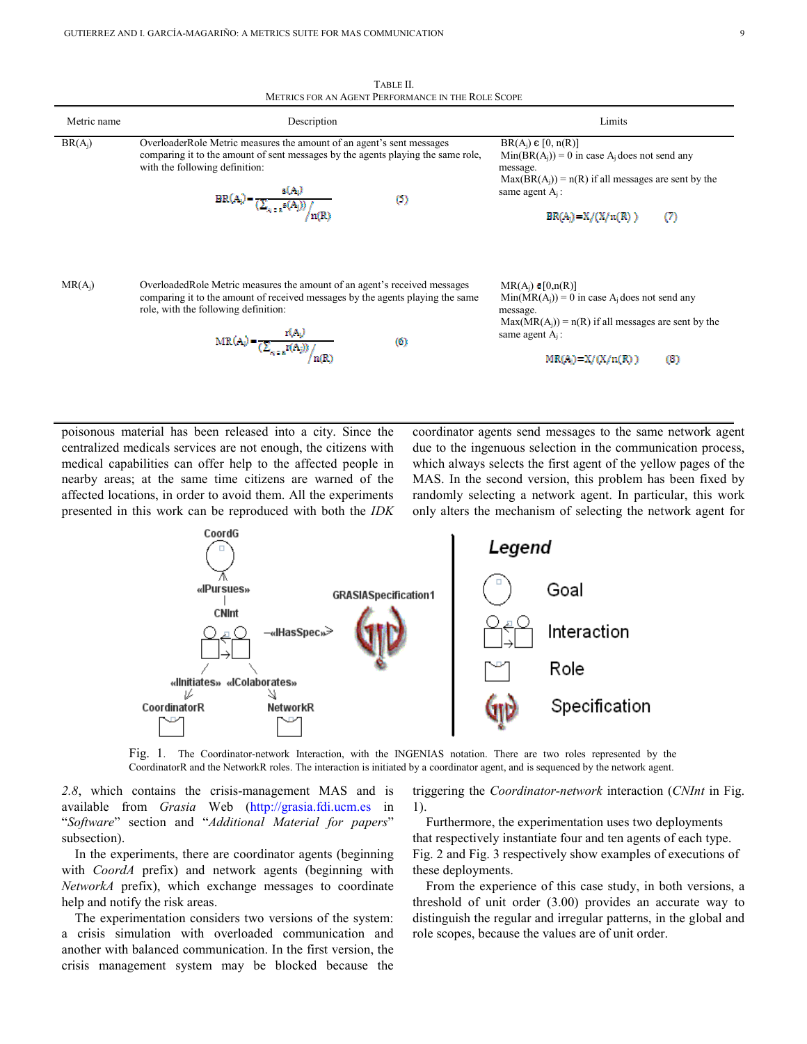TABLE II. METRICS FOR AN AGENT PERFORMANCE IN THE ROLE SCOPE Metric name and the second Description Control of the Description Control of the Limits Control of the Limits BR(Aj) OverloaderRole Metric measures the amount of an agent's sent messages  $BR(A_i) \in [0, n(R)]$ comparing it to the amount of sent messages by the agents playing the same role,  $Min(BR(A_i)) = 0$  in case A<sub>i</sub> does not send any with the following definition: message.  $Max(BR(A<sub>j</sub>)) = n(R)$  if all messages are sent by the  $BR(A_i) = \frac{\epsilon(A_i)}{\left(\sum_{s_i \in \pi} s(A_j)\right) / \frac{\epsilon(A_i)}{n(R)}}$ same agent A<sub>i</sub>:  $\circ$  $BR(A_i) = X/(X/n(R))$  $(7)$  $MR(A<sub>i</sub>)$  OverloadedRole Metric measures the amount of an agent's received messages  $MR(A_i) \in [0, n(R)]$ comparing it to the amount of received messages by the agents playing the same  $Min(MR(A_i)) = 0$  in case A<sub>i</sub> does not send any role, with the following definition: message.  $Max(MR(A<sub>i</sub>)) = n(R)$  if all messages are sent by the  $MR(A_i) = \frac{r(A_i)}{\left(\sum_{s \in a} r(A_i)\right) / \frac{r(B_i)}{r(B_i)}}$ same agent  $A_i$ :

 $(6)$ 

poisonous material has been released into a city. Since the centralized medicals services are not enough, the citizens with medical capabilities can offer help to the affected people in nearby areas; at the same time citizens are warned of the affected locations, in order to avoid them. All the experiments presented in this work can be reproduced with both the *IDK*  coordinator agents send messages to the same network agent due to the ingenuous selection in the communication process, which always selects the first agent of the yellow pages of the MAS. In the second version, this problem has been fixed by randomly selecting a network agent. In particular, this work only alters the mechanism of selecting the network agent for

 $MR(A_i) = X/(X/n(R))$ 

 $(8)$ 



Fig. 1.The Coordinator-network Interaction, with the INGENIAS notation. There are two roles represented by the CoordinatorR and the NetworkR roles. The interaction is initiated by a coordinator agent, and is sequenced by the network agent.

*2.8*, which contains the crisis-management MAS and is available from *Grasia* Web (http://grasia.fdi.ucm.es in "*Software*" section and "*Additional Material for papers*" subsection).

In the experiments, there are coordinator agents (beginning with *CoordA* prefix) and network agents (beginning with *NetworkA* prefix), which exchange messages to coordinate help and notify the risk areas.

The experimentation considers two versions of the system: a crisis simulation with overloaded communication and another with balanced communication. In the first version, the crisis management system may be blocked because the triggering the *Coordinator-network* interaction (*CNInt* in Fig. 1).

Furthermore, the experimentation uses two deployments that respectively instantiate four and ten agents of each type. Fig. 2 and Fig. 3 respectively show examples of executions of these deployments.

From the experience of this case study, in both versions, a threshold of unit order (3.00) provides an accurate way to distinguish the regular and irregular patterns, in the global and role scopes, because the values are of unit order.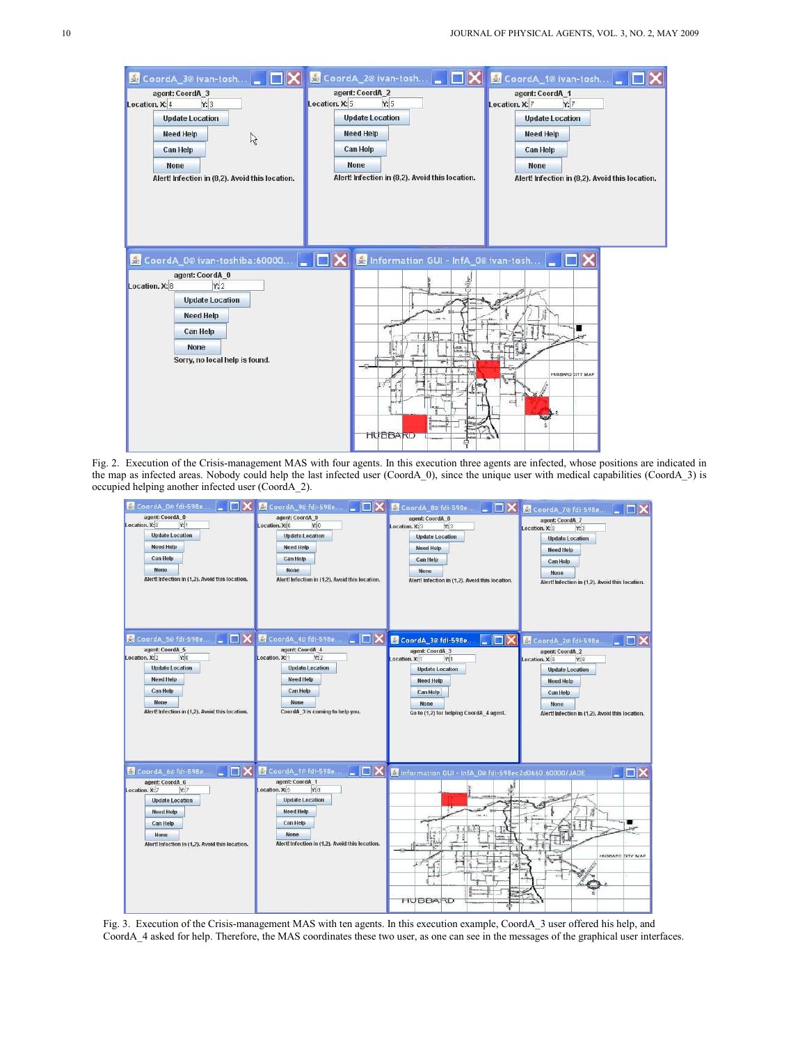| CoordA_3@ivan-tosh<br>agent: CoordA 3<br>Location. X: 4<br>Y:3<br><b>Update Location</b><br><b>Need Help</b><br>ピ<br>Can Help<br><b>None</b><br>Alert! Infection in (8,2). Avoid this location. | agent: CoordA 2<br>Location. X: 5<br><b>Need Help</b><br><b>Can Help</b><br><b>None</b> | CoordA_2@ ivan-tosh<br>Y:5<br><b>Update Location</b><br>Alert! Infection in (8,2). Avoid this location. | CoordA_1@ ivan-tosh<br>agent: CoordA 1<br>Y:7<br>Location. X: 7<br><b>Update Location</b><br><b>Need Help</b><br>Can Help<br><b>None</b> | Alert! Infection in (8,2). Avoid this location. |
|-------------------------------------------------------------------------------------------------------------------------------------------------------------------------------------------------|-----------------------------------------------------------------------------------------|---------------------------------------------------------------------------------------------------------|------------------------------------------------------------------------------------------------------------------------------------------|-------------------------------------------------|
| & CoordA_0@ ivan-toshiba:60000<br>agent: CoordA_0<br>Location. X: 8<br>Y:2<br><b>Update Location</b><br><b>Need Help</b><br><b>Can Help</b><br><b>None</b><br>Sorry, no local help is found.    |                                                                                         | Information GUI - InfA_0@ ivan-tosh<br>40<br><b>HUBBARD</b>                                             | $\blacksquare$ $\blacksquare$<br>HUBBARD CITY MAP<br>c                                                                                   |                                                 |

Fig. 2. Execution of the Crisis-management MAS with four agents. In this execution three agents are infected, whose positions are indicated in the map as infected areas. Nobody could help the last infected user (CoordA\_0), since the unique user with medical capabilities (CoordA\_3) is occupied helping another infected user (CoordA\_2).



Fig. 3. Execution of the Crisis-management MAS with ten agents. In this execution example, CoordA\_3 user offered his help, and CoordA\_4 asked for help. Therefore, the MAS coordinates these two user, as one can see in the messages of the graphical user interfaces.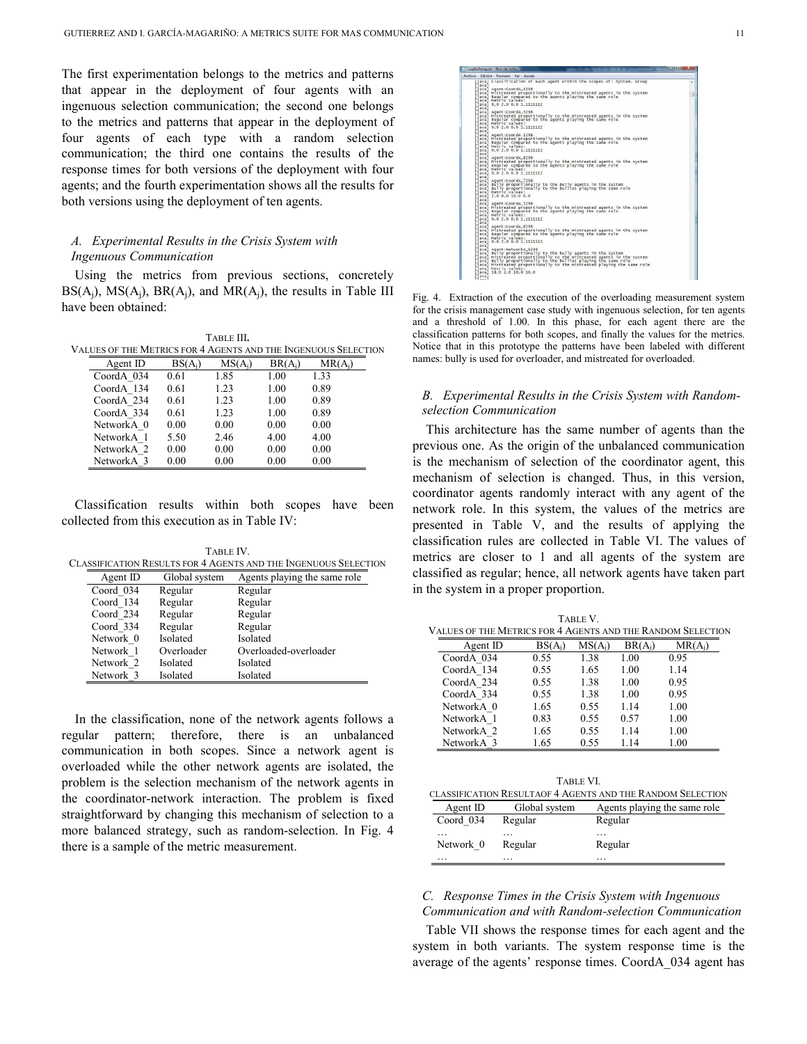The first experimentation belongs to the metrics and patterns that appear in the deployment of four agents with an ingenuous selection communication; the second one belongs to the metrics and patterns that appear in the deployment of four agents of each type with a random selection communication; the third one contains the results of the response times for both versions of the deployment with four agents; and the fourth experimentation shows all the results for both versions using the deployment of ten agents.

# *A. Experimental Results in the Crisis System with Ingenuous Communication*

Using the metrics from previous sections, concretely  $BS(A_i)$ ,  $MS(A_i)$ ,  $BR(A_i)$ , and  $MR(A_i)$ , the results in Table III have been obtained:

TABLE III**.** VALUES OF THE METRICS FOR 4 AGENTS AND THE INGENUOUS SELECTION

| Agent ID   | $BS(A_i)$ | $MS(A_i)$ | $BR(A_i)$ | $MR(A_i)$ |
|------------|-----------|-----------|-----------|-----------|
| CoordA 034 | 0.61      | 1.85      | 1.00      | 1.33      |
| CoordA 134 | 0.61      | 1.23      | 1.00      | 0.89      |
| CoordA 234 | 0.61      | 1.23      | 1.00      | 0.89      |
| CoordA 334 | 0.61      | 1.23      | 1.00      | 0.89      |
| NetworkA 0 | 0.00      | 0.00      | 0.00      | 0.00      |
| NetworkA 1 | 5.50      | 2.46      | 4.00      | 4.00      |
| NetworkA 2 | 0.00      | 0.00      | 0.00      | 0.00      |
| NetworkA 3 | 0.00      | 0.00      | 0.00      | 0.00      |

Classification results within both scopes have been collected from this execution as in Table IV:

TABLE IV. CLASSIFICATION RESULTS FOR 4 AGENTS AND THE INGENUOUS SELECTION

| Agent ID  | Global system | Agents playing the same role |
|-----------|---------------|------------------------------|
| Coord 034 | Regular       | Regular                      |
| Coord 134 | Regular       | Regular                      |
| Coord 234 | Regular       | Regular                      |
| Coord 334 | Regular       | Regular                      |
| Network 0 | Isolated      | Isolated                     |
| Network 1 | Overloader    | Overloaded-overloader        |
| Network 2 | Isolated      | Isolated                     |
| Network 3 | Isolated      | Isolated                     |

In the classification, none of the network agents follows a regular pattern; therefore, there is an unbalanced communication in both scopes. Since a network agent is overloaded while the other network agents are isolated, the problem is the selection mechanism of the network agents in the coordinator-network interaction. The problem is fixed straightforward by changing this mechanism of selection to a more balanced strategy, such as random-selection. In Fig. 4 there is a sample of the metric measurement.

Agent:coordA\_4208<br>Mistreated proportionally to the mistreated agents in the system<br>Regular compared to the agents playing the same role<br>Metric values:<br>0.0 2.0 0.0 1.11111112 iordA\_3298<br>:ed proportionally to the mistreated agents in the system<br>compared to the agents playing the same role /alues:<br>0.0 1.1111112 .<br>oportionally to the mistreated agents in the sys<br>red to the agents playing the same role lues :<br>. 0 1.1111112 y to the mistreated agents in the syste<br>agents playing the same role es :<br>1.1111112 iga<br>onally to the bully agents in the system<br>onally to the bullies playing the same rol values:<br>0011111111 1.1111112

Fig. 4. Extraction of the execution of the overloading measurement system for the crisis management case study with ingenuous selection, for ten agents and a threshold of 1.00. In this phase, for each agent there are the classification patterns for both scopes, and finally the values for the metrics. Notice that in this prototype the patterns have been labeled with different names: bully is used for overloader, and mistreated for overloaded.

## *B. Experimental Results in the Crisis System with Randomselection Communication*

This architecture has the same number of agents than the previous one. As the origin of the unbalanced communication is the mechanism of selection of the coordinator agent, this mechanism of selection is changed. Thus, in this version, coordinator agents randomly interact with any agent of the network role. In this system, the values of the metrics are presented in Table V, and the results of applying the classification rules are collected in Table VI. The values of metrics are closer to 1 and all agents of the system are classified as regular; hence, all network agents have taken part in the system in a proper proportion.

|                                                             |           | TABLE V.  |           |           |  |
|-------------------------------------------------------------|-----------|-----------|-----------|-----------|--|
| VALUES OF THE METRICS FOR 4 AGENTS AND THE RANDOM SELECTION |           |           |           |           |  |
| Agent ID                                                    | $BS(A_i)$ | $MS(A_i)$ | $BR(A_i)$ | $MR(A_i)$ |  |
| CoordA 034                                                  | 0.55      | 1.38      | 1.00      | 0.95      |  |
| CoordA 134                                                  | 0.55      | 1.65      | 1.00      | 1.14      |  |
| CoordA 234                                                  | 0.55      | 1.38      | 1.00      | 0.95      |  |
| CoordA 334                                                  | 0.55      | 1.38      | 1.00      | 0.95      |  |
| NetworkA 0                                                  | 1.65      | 0.55      | 1.14      | 1.00      |  |
| NetworkA 1                                                  | 0.83      | 0.55      | 0.57      | 1.00      |  |
| NetworkA 2                                                  | 1.65      | 0.55      | 1.14      | 1.00      |  |
| NetworkA 3                                                  | 1.65      | 0.55      | 1.14      | 1.00      |  |

|           | TABLE VI      | CLASSIFICATION RESULTAOF 4 AGENTS AND THE RANDOM SELECTION |
|-----------|---------------|------------------------------------------------------------|
| Agent ID  | Global system | Agents playing the same role                               |
| Coord 034 | Regular       | Regular                                                    |
| Network 0 | Regular       | Regular                                                    |
|           |               |                                                            |

### *C. Response Times in the Crisis System with Ingenuous Communication and with Random-selection Communication*

Table VII shows the response times for each agent and the system in both variants. The system response time is the average of the agents' response times. CoordA\_034 agent has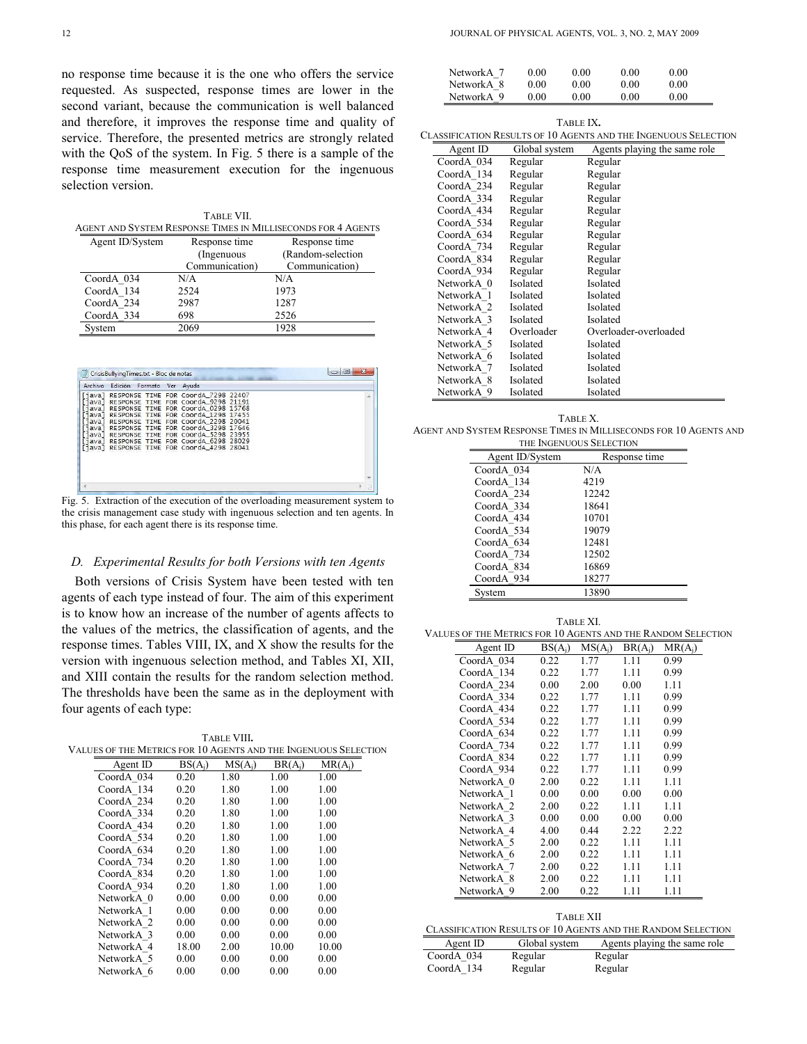no response time because it is the one who offers the service requested. As suspected, response times are lower in the second variant, because the communication is well balanced and therefore, it improves the response time and quality of service. Therefore, the presented metrics are strongly related with the QoS of the system. In Fig. 5 there is a sample of the response time measurement execution for the ingenuous selection version.

|                 | TABLE VII.     |                                                              |
|-----------------|----------------|--------------------------------------------------------------|
|                 |                | AGENT AND SYSTEM RESPONSE TIMES IN MILLISECONDS FOR 4 AGENTS |
| Agent ID/System | Response time  | Response time                                                |
|                 | (Ingenuous     | (Random-selection                                            |
|                 | Communication) | Communication)                                               |
| CoordA 034      | N/A            | N/A                                                          |
| CoordA 134      | 2524           | 1973                                                         |
| CoordA 234      | 2987           | 1287                                                         |
| CoordA 334      | 698            | 2526                                                         |
| System          | 2069           | 1928                                                         |

|                                                                           | CrisisBullyingTimes.txt - Bloc de notas |         |                                                                                                                                                                                                                                                                                                                                                 |                | $\boldsymbol{\mathsf{x}}$<br>(m)<br>$\Rightarrow$ |
|---------------------------------------------------------------------------|-----------------------------------------|---------|-------------------------------------------------------------------------------------------------------------------------------------------------------------------------------------------------------------------------------------------------------------------------------------------------------------------------------------------------|----------------|---------------------------------------------------|
| <b>Archivo</b>                                                            | Edición                                 | Formato | Avuda<br>Ver                                                                                                                                                                                                                                                                                                                                    |                |                                                   |
| [java]<br>iava I<br>ava<br>ava<br>ava<br>iava l<br>ava I<br>ava  <br>java |                                         |         | RESPONSE TIME FOR CoordA 7298 22407<br>RESPONSE TIME FOR Coorda 9298 21191<br>RESPONSE TIME FOR CoordA_0298 15768<br>RESPONSE TIME FOR Coorda 1298 17455<br>RESPONSE TIME FOR Coorda 2298 20041<br>RESPONSE TIME FOR CoordA 3298 17646<br>RESPONSE TIME FOR CoordA 5298 23955<br>RESPONSE TIME FOR CoordA_6298<br>RESPONSE TIME FOR COORdA 4298 | 28029<br>28041 |                                                   |
|                                                                           |                                         |         |                                                                                                                                                                                                                                                                                                                                                 |                |                                                   |
|                                                                           |                                         |         |                                                                                                                                                                                                                                                                                                                                                 |                | al.                                               |

Fig. 5. Extraction of the execution of the overloading measurement system to the crisis management case study with ingenuous selection and ten agents. In this phase, for each agent there is its response time.

### *D. Experimental Results for both Versions with ten Agents*

Both versions of Crisis System have been tested with ten agents of each type instead of four. The aim of this experiment is to know how an increase of the number of agents affects to the values of the metrics, the classification of agents, and the response times. Tables VIII, IX, and X show the results for the version with ingenuous selection method, and Tables XI, XII, and XIII contain the results for the random selection method. The thresholds have been the same as in the deployment with four agents of each type:

TABLE VIII**.** VALUES OF THE METRICS FOR 10 AGENTS AND THE INGENUOUS SELECTION

| Agent ID   | $BS(A_i)$ | $MS(A_i)$ | $BR(A_i)$ | $MR(A_i)$ |
|------------|-----------|-----------|-----------|-----------|
| CoordA 034 | 0.20      | 1.80      | 1.00      | 1.00      |
| CoordA 134 | 0.20      | 1.80      | 1.00      | 1.00      |
| CoordA 234 | 0.20      | 1.80      | 1.00      | 1.00      |
| CoordA 334 | 0.20      | 1.80      | 1.00      | 1.00      |
| CoordA 434 | 0.20      | 1.80      | 1.00      | 1.00      |
| CoordA 534 | 0.20      | 1.80      | 1.00      | 1.00      |
| CoordA 634 | 0.20      | 1.80      | 1.00      | 1.00      |
| CoordA 734 | 0.20      | 1.80      | 1.00      | 1.00      |
| CoordA 834 | 0.20      | 1.80      | 1.00      | 1.00      |
| CoordA 934 | 0.20      | 1.80      | 1.00      | 1.00      |
| NetworkA 0 | 0.00      | 0.00      | 0.00      | 0.00      |
| NetworkA 1 | 0.00      | 0.00      | 0.00      | 0.00      |
| NetworkA 2 | 0.00      | 0.00      | 0.00      | 0.00      |
| NetworkA 3 | 0.00      | 0.00      | 0.00      | 0.00      |
| NetworkA 4 | 18.00     | 2.00      | 10.00     | 10.00     |
| NetworkA 5 | 0.00      | 0.00      | 0.00      | 0.00      |
| NetworkA 6 | 0.00      | 0.00      | 0.00      | 0.00      |
|            |           |           |           |           |

| NetworkA 7 | 0.00 | 0.00 | 0.00 | 0.00 |
|------------|------|------|------|------|
| NetworkA 8 | 0.00 | 0.00 | 0.00 | 0.00 |
| NetworkA 9 | 0.00 | 0.00 | 0.00 | 0.00 |

TABLE IX**.** CLASSIFICATION RESULTS OF 10 AGENTS AND THE INGENUOUS SELECTION

| Agent ID   | Global system | Agents playing the same role |
|------------|---------------|------------------------------|
| CoordA 034 | Regular       | Regular                      |
| CoordA 134 | Regular       | Regular                      |
| CoordA 234 | Regular       | Regular                      |
| CoordA 334 | Regular       | Regular                      |
| CoordA 434 | Regular       | Regular                      |
| CoordA 534 | Regular       | Regular                      |
| CoordA 634 | Regular       | Regular                      |
| CoordA 734 | Regular       | Regular                      |
| CoordA 834 | Regular       | Regular                      |
| CoordA 934 | Regular       | Regular                      |
| NetworkA 0 | Isolated      | Isolated                     |
| NetworkA 1 | Isolated      | Isolated                     |
| NetworkA 2 | Isolated      | Isolated                     |
| NetworkA 3 | Isolated      | Isolated                     |
| NetworkA 4 | Overloader    | Overloader-overloaded        |
| NetworkA 5 | Isolated      | Isolated                     |
| NetworkA 6 | Isolated      | Isolated                     |
| NetworkA 7 | Isolated      | Isolated                     |
| NetworkA 8 | Isolated      | Isolated                     |
| NetworkA 9 | Isolated      | Isolated                     |

| TABLE X.                                                          |
|-------------------------------------------------------------------|
| AGENT AND SYSTEM RESPONSE TIMES IN MILLISECONDS FOR 10 AGENTS AND |
| THE INGENUOUS SELECTION                                           |

| Agent ID/System | Response time |
|-----------------|---------------|
| CoordA 034      | N/A           |
| CoordA 134      | 4219          |
| CoordA 234      | 12242         |
| CoordA 334      | 18641         |
| CoordA 434      | 10701         |
| CoordA 534      | 19079         |
| CoordA 634      | 12481         |
| CoordA 734      | 12502         |
| CoordA 834      | 16869         |
| CoordA 934      | 18277         |
| System          | 13890         |

| Agent ID<br>CoordA 034<br>CoordA 134<br>CoordA 234<br>CoordA 334<br>CoordA 434<br>CoordA 534<br>CoordA 634<br>CoordA 734<br>CoordA_834<br>CoordA 934 | $BS(A_i)$<br>0.22<br>0.22<br>0.00<br>0.22<br>0.22<br>0.22<br>0.22<br>0.22<br>0.22 | $MS(A_i)$<br>1.77<br>1.77<br>2.00<br>1.77<br>1.77<br>1.77<br>1.77<br>1.77 | $BR(A_i)$<br>1.11<br>1.11<br>0.00<br>1.11<br>1.11<br>1.11<br>1.11 | $MR(A_i)$<br>0.99<br>0.99<br>1.11<br>0.99<br>0.99<br>0.99<br>0.99 |
|------------------------------------------------------------------------------------------------------------------------------------------------------|-----------------------------------------------------------------------------------|---------------------------------------------------------------------------|-------------------------------------------------------------------|-------------------------------------------------------------------|
|                                                                                                                                                      |                                                                                   |                                                                           |                                                                   |                                                                   |
|                                                                                                                                                      |                                                                                   |                                                                           |                                                                   |                                                                   |
|                                                                                                                                                      |                                                                                   |                                                                           |                                                                   |                                                                   |
|                                                                                                                                                      |                                                                                   |                                                                           |                                                                   |                                                                   |
|                                                                                                                                                      |                                                                                   |                                                                           |                                                                   |                                                                   |
|                                                                                                                                                      |                                                                                   |                                                                           |                                                                   |                                                                   |
|                                                                                                                                                      |                                                                                   |                                                                           |                                                                   |                                                                   |
|                                                                                                                                                      |                                                                                   |                                                                           | 1.11                                                              | 0.99                                                              |
|                                                                                                                                                      |                                                                                   | 1.77                                                                      | 1.11                                                              | 0.99                                                              |
|                                                                                                                                                      | 0.22                                                                              | 1.77                                                                      | 1.11                                                              | 0.99                                                              |
| NetworkA 0                                                                                                                                           | 2.00                                                                              | 0.22                                                                      | 1.11                                                              | 1.11                                                              |
| NetworkA 1                                                                                                                                           | 0.00                                                                              | 0.00                                                                      | 0.00                                                              | 0.00                                                              |
| NetworkA 2                                                                                                                                           | 2.00                                                                              | 0.22                                                                      | 1.11                                                              | 1.11                                                              |
| NetworkA 3                                                                                                                                           | 0.00                                                                              | 0.00                                                                      | 0.00                                                              | 0.00                                                              |
| NetworkA 4                                                                                                                                           | 4.00                                                                              | 0.44                                                                      | 2.22                                                              | 2.22                                                              |
| NetworkA 5                                                                                                                                           | 2.00                                                                              | 0.22                                                                      | 1.11                                                              | 1.11                                                              |
| NetworkA 6                                                                                                                                           | 2.00                                                                              | 0.22                                                                      | 1.11                                                              | 1.11                                                              |
| NetworkA 7                                                                                                                                           | 2.00                                                                              | 0.22                                                                      | 1.11                                                              | 1.11                                                              |
| NetworkA 8                                                                                                                                           | 2.00                                                                              | 0.22                                                                      | 1.11                                                              | 1.11                                                              |
| NetworkA 9                                                                                                                                           | 2.00                                                                              | 0.22                                                                      | 1.11                                                              | 1.11                                                              |

Agent ID Global system Agents playing the same role CoordA\_034 Regular Regular<br>CoordA\_134 Regular Regular CoordA\_134 Regular Regular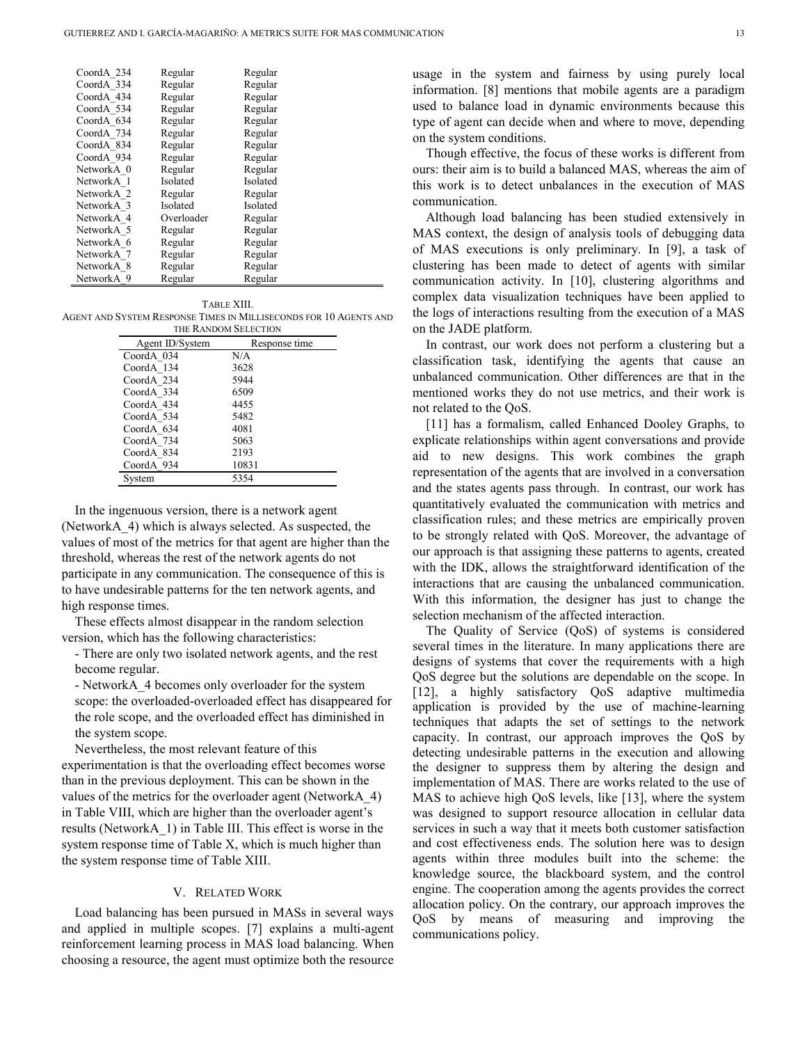| CoordA 234            | Regular    | Regular  |
|-----------------------|------------|----------|
| CoordA 334            | Regular    | Regular  |
| CoordA 434            | Regular    | Regular  |
| CoordA 534            | Regular    | Regular  |
| CoordA 634            | Regular    | Regular  |
| CoordA 734            | Regular    | Regular  |
| CoordA 834            | Regular    | Regular  |
| CoordA 934            | Regular    | Regular  |
| NetworkA 0            | Regular    | Regular  |
| NetworkA 1            | Isolated   | Isolated |
| NetworkA <sub>2</sub> | Regular    | Regular  |
| NetworkA 3            | Isolated   | Isolated |
| NetworkA 4            | Overloader | Regular  |
| NetworkA 5            | Regular    | Regular  |
| NetworkA 6            | Regular    | Regular  |
| NetworkA 7            | Regular    | Regular  |
| NetworkA 8            | Regular    | Regular  |
| NetworkA 9            | Regular    | Regular  |

TABLE XIII. AGENT AND SYSTEM RESPONSE TIMES IN MILLISECONDS FOR 10 AGENTS AND

| THE RANDOM SELECTION |               |  |  |  |  |
|----------------------|---------------|--|--|--|--|
| Agent ID/System      | Response time |  |  |  |  |
| CoordA 034           | N/A           |  |  |  |  |
| CoordA 134           | 3628          |  |  |  |  |
| CoordA 234           | 5944          |  |  |  |  |
| CoordA 334           | 6509          |  |  |  |  |
| CoordA 434           | 4455          |  |  |  |  |
| CoordA 534           | 5482          |  |  |  |  |
| CoordA 634           | 4081          |  |  |  |  |
| CoordA 734           | 5063          |  |  |  |  |
| CoordA 834           | 2193          |  |  |  |  |
| CoordA 934           | 10831         |  |  |  |  |
| Svstem               | 5354          |  |  |  |  |

In the ingenuous version, there is a network agent (NetworkA\_4) which is always selected. As suspected, the values of most of the metrics for that agent are higher than the threshold, whereas the rest of the network agents do not participate in any communication. The consequence of this is to have undesirable patterns for the ten network agents, and high response times.

These effects almost disappear in the random selection version, which has the following characteristics:

- There are only two isolated network agents, and the rest become regular.

- NetworkA\_4 becomes only overloader for the system scope: the overloaded-overloaded effect has disappeared for the role scope, and the overloaded effect has diminished in the system scope.

Nevertheless, the most relevant feature of this experimentation is that the overloading effect becomes worse than in the previous deployment. This can be shown in the values of the metrics for the overloader agent (NetworkA\_4) in Table VIII, which are higher than the overloader agent's results (NetworkA\_1) in Table III. This effect is worse in the system response time of Table X, which is much higher than the system response time of Table XIII.

#### V. RELATED WORK

Load balancing has been pursued in MASs in several ways and applied in multiple scopes. [7] explains a multi-agent reinforcement learning process in MAS load balancing. When choosing a resource, the agent must optimize both the resource

usage in the system and fairness by using purely local information. [8] mentions that mobile agents are a paradigm used to balance load in dynamic environments because this type of agent can decide when and where to move, depending on the system conditions.

Though effective, the focus of these works is different from ours: their aim is to build a balanced MAS, whereas the aim of this work is to detect unbalances in the execution of MAS communication.

Although load balancing has been studied extensively in MAS context, the design of analysis tools of debugging data of MAS executions is only preliminary. In [9], a task of clustering has been made to detect of agents with similar communication activity. In [10], clustering algorithms and complex data visualization techniques have been applied to the logs of interactions resulting from the execution of a MAS on the JADE platform.

In contrast, our work does not perform a clustering but a classification task, identifying the agents that cause an unbalanced communication. Other differences are that in the mentioned works they do not use metrics, and their work is not related to the QoS.

[11] has a formalism, called Enhanced Dooley Graphs, to explicate relationships within agent conversations and provide aid to new designs. This work combines the graph representation of the agents that are involved in a conversation and the states agents pass through. In contrast, our work has quantitatively evaluated the communication with metrics and classification rules; and these metrics are empirically proven to be strongly related with QoS. Moreover, the advantage of our approach is that assigning these patterns to agents, created with the IDK, allows the straightforward identification of the interactions that are causing the unbalanced communication. With this information, the designer has just to change the selection mechanism of the affected interaction.

The Quality of Service (QoS) of systems is considered several times in the literature. In many applications there are designs of systems that cover the requirements with a high QoS degree but the solutions are dependable on the scope. In [12], a highly satisfactory QoS adaptive multimedia application is provided by the use of machine-learning techniques that adapts the set of settings to the network capacity. In contrast, our approach improves the QoS by detecting undesirable patterns in the execution and allowing the designer to suppress them by altering the design and implementation of MAS. There are works related to the use of MAS to achieve high QoS levels, like [13], where the system was designed to support resource allocation in cellular data services in such a way that it meets both customer satisfaction and cost effectiveness ends. The solution here was to design agents within three modules built into the scheme: the knowledge source, the blackboard system, and the control engine. The cooperation among the agents provides the correct allocation policy. On the contrary, our approach improves the QoS by means of measuring and improving the communications policy.